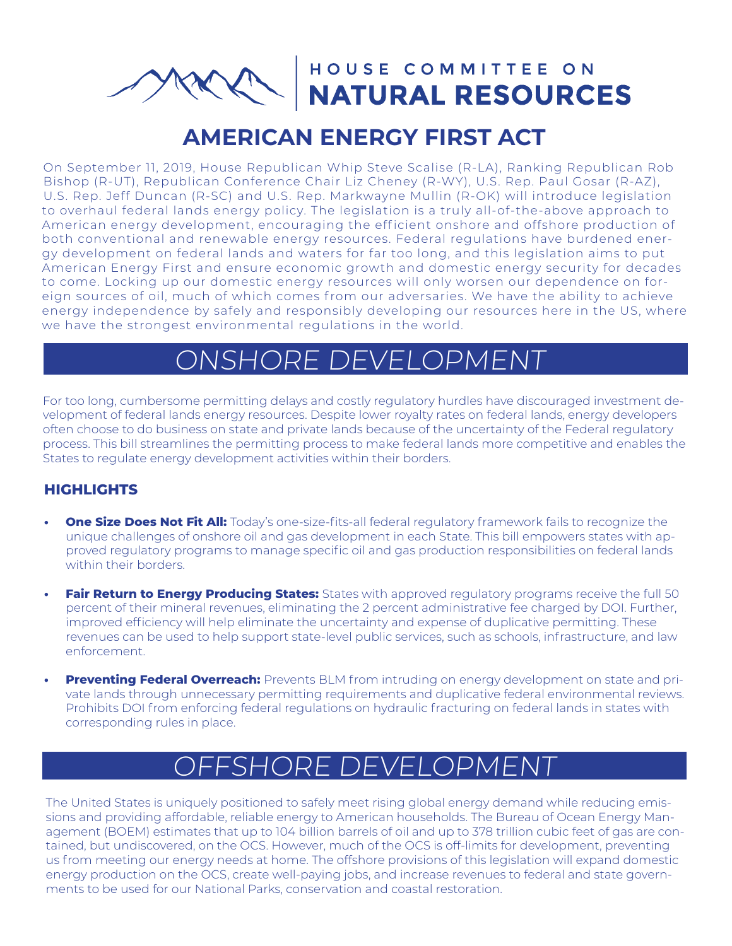HOUSE COMMITTEE ON NATURAL RESOURCES

### **AMERICAN ENERGY FIRST ACT**

On September 11, 2019, House Republican Whip Steve Scalise (R-LA), Ranking Republican Rob Bishop (R-UT), Republican Conference Chair Liz Cheney (R-WY), U.S. Rep. Paul Gosar (R-AZ), U.S. Rep. Jeff Duncan (R-SC) and U.S. Rep. Markwayne Mullin (R-OK) will introduce legislation to overhaul federal lands energy policy. The legislation is a truly all-of-the-above approach to American energy development, encouraging the efficient onshore and offshore production of both conventional and renewable energy resources. Federal regulations have burdened energy development on federal lands and waters for far too long, and this legislation aims to put American Energy First and ensure economic growth and domestic energy security for decades to come. Locking up our domestic energy resources will only worsen our dependence on foreign sources of oil, much of which comes from our adversaries. We have the ability to achieve energy independence by safely and responsibly developing our resources here in the US, where we have the strongest environmental regulations in the world.

## ONSHORE DEVELOPMENT

For too long, cumbersome permitting delays and costly regulatory hurdles have discouraged investment development of federal lands energy resources. Despite lower royalty rates on federal lands, energy developers often choose to do business on state and private lands because of the uncertainty of the Federal regulatory process. This bill streamlines the permitting process to make federal lands more competitive and enables the States to regulate energy development activities within their borders.

#### **HIGHLIGHTS**

- **• One Size Does Not Fit All:** Today's one-size-fits-all federal regulatory framework fails to recognize the unique challenges of onshore oil and gas development in each State. This bill empowers states with approved regulatory programs to manage specific oil and gas production responsibilities on federal lands within their borders.
- **Fair Return to Energy Producing States:** States with approved regulatory programs receive the full 50 percent of their mineral revenues, eliminating the 2 percent administrative fee charged by DOI. Further, improved efficiency will help eliminate the uncertainty and expense of duplicative permitting. These revenues can be used to help support state-level public services, such as schools, infrastructure, and law enforcement.
- **• Preventing Federal Overreach:** Prevents BLM from intruding on energy development on state and private lands through unnecessary permitting requirements and duplicative federal environmental reviews. Prohibits DOI from enforcing federal regulations on hydraulic fracturing on federal lands in states with corresponding rules in place.

# FSHORE DEVELOPMEN

The United States is uniquely positioned to safely meet rising global energy demand while reducing emissions and providing affordable, reliable energy to American households. The Bureau of Ocean Energy Management (BOEM) estimates that up to 104 billion barrels of oil and up to 378 trillion cubic feet of gas are contained, but undiscovered, on the OCS. However, much of the OCS is off-limits for development, preventing us from meeting our energy needs at home. The offshore provisions of this legislation will expand domestic energy production on the OCS, create well-paying jobs, and increase revenues to federal and state governments to be used for our National Parks, conservation and coastal restoration.